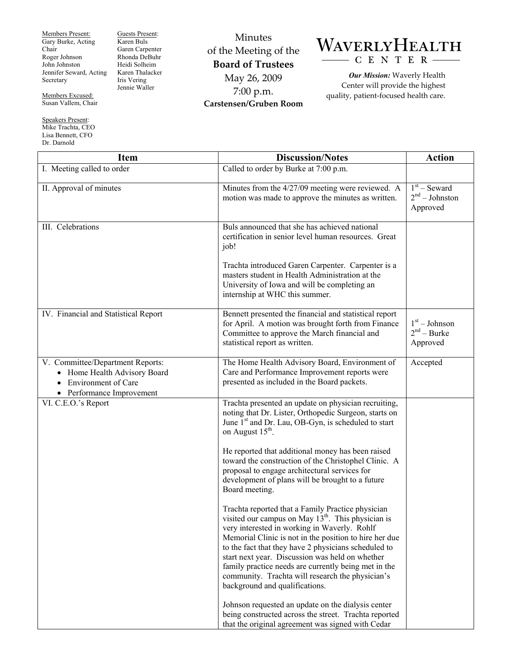Members Present: Gary Burke, Acting Chair Roger Johnson John Johnston Jennifer Seward, Acting Secretary

Guests Present: Karen Buls Garen Carpenter Rhonda DeBuhr Heidi Solheim Karen Thalacker Iris Vering Jennie Waller

Minutes of the Meeting of the **Board of Trustees**  May 26, 2009 7:00 p.m. **Carstensen/Gruben Room** 

## WAVERLYHEALTH CENTER

*Our Mission:* Waverly Health Center will provide the highest quality, patient-focused health care.

| <b>Item</b>                                                                                                            | <b>Discussion/Notes</b>                                                                                                                                                                                                                                                                                                                                                                                                                                                      | <b>Action</b>                                  |
|------------------------------------------------------------------------------------------------------------------------|------------------------------------------------------------------------------------------------------------------------------------------------------------------------------------------------------------------------------------------------------------------------------------------------------------------------------------------------------------------------------------------------------------------------------------------------------------------------------|------------------------------------------------|
| I. Meeting called to order                                                                                             | Called to order by Burke at 7:00 p.m.                                                                                                                                                                                                                                                                                                                                                                                                                                        |                                                |
| II. Approval of minutes                                                                                                | Minutes from the 4/27/09 meeting were reviewed. A<br>motion was made to approve the minutes as written.                                                                                                                                                                                                                                                                                                                                                                      | $1st$ – Seward<br>$2nd - Johnston$<br>Approved |
| III. Celebrations                                                                                                      | Buls announced that she has achieved national<br>certification in senior level human resources. Great<br>job!                                                                                                                                                                                                                                                                                                                                                                |                                                |
|                                                                                                                        | Trachta introduced Garen Carpenter. Carpenter is a<br>masters student in Health Administration at the<br>University of Iowa and will be completing an<br>internship at WHC this summer.                                                                                                                                                                                                                                                                                      |                                                |
| IV. Financial and Statistical Report                                                                                   | Bennett presented the financial and statistical report<br>for April. A motion was brought forth from Finance<br>Committee to approve the March financial and<br>statistical report as written.                                                                                                                                                                                                                                                                               | $1st - Johnson$<br>$2nd - Burke$<br>Approved   |
| V. Committee/Department Reports:<br>• Home Health Advisory Board<br>• Environment of Care<br>• Performance Improvement | The Home Health Advisory Board, Environment of<br>Care and Performance Improvement reports were<br>presented as included in the Board packets.                                                                                                                                                                                                                                                                                                                               | Accepted                                       |
| VI. C.E.O.'s Report                                                                                                    | Trachta presented an update on physician recruiting,<br>noting that Dr. Lister, Orthopedic Surgeon, starts on<br>June 1 <sup>st</sup> and Dr. Lau, OB-Gyn, is scheduled to start<br>on August 15 <sup>th</sup> .                                                                                                                                                                                                                                                             |                                                |
|                                                                                                                        | He reported that additional money has been raised<br>toward the construction of the Christophel Clinic. A<br>proposal to engage architectural services for<br>development of plans will be brought to a future<br>Board meeting.                                                                                                                                                                                                                                             |                                                |
|                                                                                                                        | Trachta reported that a Family Practice physician<br>visited our campus on May $13th$ . This physician is<br>very interested in working in Waverly. Rohlf<br>Memorial Clinic is not in the position to hire her due<br>to the fact that they have 2 physicians scheduled to<br>start next year. Discussion was held on whether<br>family practice needs are currently being met in the<br>community. Trachta will research the physician's<br>background and qualifications. |                                                |
|                                                                                                                        | Johnson requested an update on the dialysis center<br>being constructed across the street. Trachta reported<br>that the original agreement was signed with Cedar                                                                                                                                                                                                                                                                                                             |                                                |

Members Excused: Susan Vallem, Chair

Speakers Present: Mike Trachta, CEO Lisa Bennett, CFO Dr. Darnold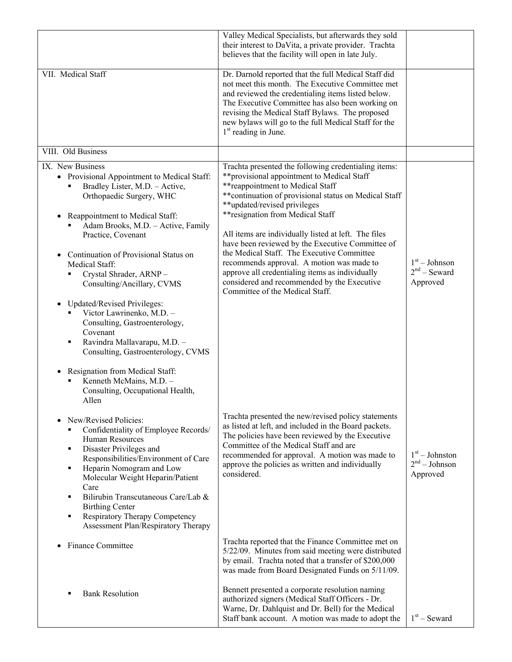|                                                                                                                                                                                                                                                                                                                                                                                                                                                                                                                                                                                                                                    | Valley Medical Specialists, but afterwards they sold<br>their interest to DaVita, a private provider. Trachta<br>believes that the facility will open in late July.                                                                                                                                                                                                                                                                                                                                                                                                                                                |                                                 |
|------------------------------------------------------------------------------------------------------------------------------------------------------------------------------------------------------------------------------------------------------------------------------------------------------------------------------------------------------------------------------------------------------------------------------------------------------------------------------------------------------------------------------------------------------------------------------------------------------------------------------------|--------------------------------------------------------------------------------------------------------------------------------------------------------------------------------------------------------------------------------------------------------------------------------------------------------------------------------------------------------------------------------------------------------------------------------------------------------------------------------------------------------------------------------------------------------------------------------------------------------------------|-------------------------------------------------|
| VII. Medical Staff                                                                                                                                                                                                                                                                                                                                                                                                                                                                                                                                                                                                                 | Dr. Darnold reported that the full Medical Staff did<br>not meet this month. The Executive Committee met<br>and reviewed the credentialing items listed below.<br>The Executive Committee has also been working on<br>revising the Medical Staff Bylaws. The proposed<br>new bylaws will go to the full Medical Staff for the<br>1 <sup>st</sup> reading in June.                                                                                                                                                                                                                                                  |                                                 |
| VIII. Old Business                                                                                                                                                                                                                                                                                                                                                                                                                                                                                                                                                                                                                 |                                                                                                                                                                                                                                                                                                                                                                                                                                                                                                                                                                                                                    |                                                 |
| IX. New Business<br>• Provisional Appointment to Medical Staff:<br>Bradley Lister, M.D. - Active,<br>Orthopaedic Surgery, WHC<br>Reappointment to Medical Staff:<br>Adam Brooks, M.D. - Active, Family<br>Practice, Covenant<br>Continuation of Provisional Status on<br>$\bullet$<br>Medical Staff:<br>Crystal Shrader, ARNP-<br>Consulting/Ancillary, CVMS<br><b>Updated/Revised Privileges:</b><br>$\bullet$<br>Victor Lawrinenko, M.D. -<br>Consulting, Gastroenterology,<br>Covenant<br>Ravindra Mallavarapu, M.D. -<br>٠<br>Consulting, Gastroenterology, CVMS<br>Resignation from Medical Staff:<br>Kenneth McMains, M.D. - | Trachta presented the following credentialing items:<br>**provisional appointment to Medical Staff<br>** reappointment to Medical Staff<br>** continuation of provisional status on Medical Staff<br>**updated/revised privileges<br>** resignation from Medical Staff<br>All items are individually listed at left. The files<br>have been reviewed by the Executive Committee of<br>the Medical Staff. The Executive Committee<br>recommends approval. A motion was made to<br>approve all credentialing items as individually<br>considered and recommended by the Executive<br>Committee of the Medical Staff. | $1st - Johnson$<br>$2nd$ – Seward<br>Approved   |
| Consulting, Occupational Health,<br>Allen<br>New/Revised Policies:<br>$\bullet$<br>Confidentiality of Employee Records/<br>Human Resources<br>Disaster Privileges and<br>٠<br>Responsibilities/Environment of Care<br>Heparin Nomogram and Low<br>٠<br>Molecular Weight Heparin/Patient<br>Care<br>Bilirubin Transcutaneous Care/Lab &<br>٠<br><b>Birthing Center</b><br>Respiratory Therapy Competency<br>٠<br>Assessment Plan/Respiratory Therapy                                                                                                                                                                                | Trachta presented the new/revised policy statements<br>as listed at left, and included in the Board packets.<br>The policies have been reviewed by the Executive<br>Committee of the Medical Staff and are<br>recommended for approval. A motion was made to<br>approve the policies as written and individually<br>considered.<br>Trachta reported that the Finance Committee met on                                                                                                                                                                                                                              | $1st - Johnston$<br>$2nd - Johnson$<br>Approved |
| <b>Finance Committee</b><br><b>Bank Resolution</b><br>٠                                                                                                                                                                                                                                                                                                                                                                                                                                                                                                                                                                            | 5/22/09. Minutes from said meeting were distributed<br>by email. Trachta noted that a transfer of \$200,000<br>was made from Board Designated Funds on 5/11/09.<br>Bennett presented a corporate resolution naming<br>authorized signers (Medical Staff Officers - Dr.<br>Warne, Dr. Dahlquist and Dr. Bell) for the Medical<br>Staff bank account. A motion was made to adopt the                                                                                                                                                                                                                                 | $1st$ – Seward                                  |